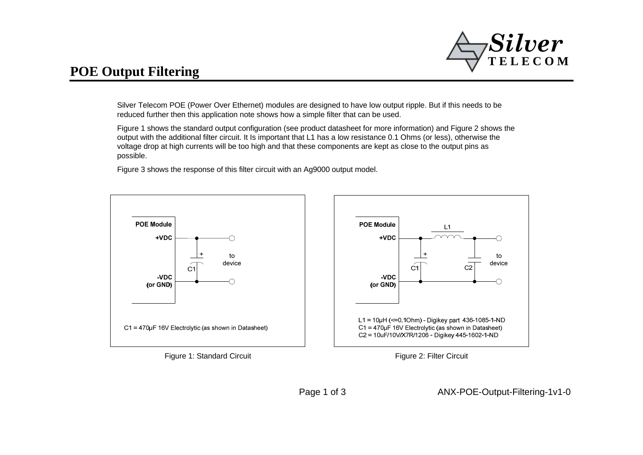

## **POE Output Filtering**

Silver Telecom POE (Power Over Ethernet) modules are designed to have low output ripple. But if this needs to be reduced further then this application note shows how a simple filter that can be used.

Figure 1 shows the standard output configuration (see product datasheet for more information) and Figure 2 shows the output with the additional filter circuit. It Is important that L1 has a low resistance 0.1 Ohms (or less), otherwise the voltage drop at high currents will be too high and that these components are kept as close to the output pins as possible.

Figure 3 shows the response of this filter circuit with an Ag9000 output model.



Figure 2: Filter Circuit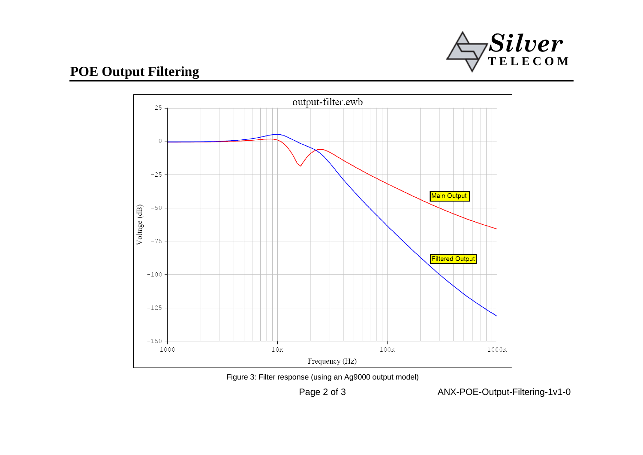

## **POE Output Filtering**



Figure 3: Filter response (using an Ag9000 output model)

Page 2 of 3

ANX-POE-Output-Filtering-1v1-0